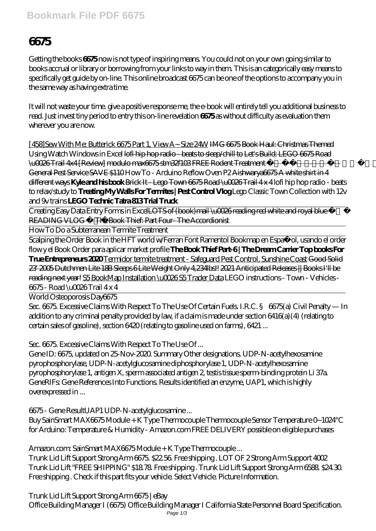## **Bookmark File PDF 6675**

# **6675**

Getting the books **6675** now is not type of inspiring means. You could not on your own going similar to books accrual or library or borrowing from your links to way in them. This is an categorically easy means to specifically get guide by on-line. This online broadcast 6675 can be one of the options to accompany you in the same way as having extra time.

It will not waste your time. give a positive response me, the e-book will entirely tell you additional business to read. Just invest tiny period to entry this on-line revelation **6675** as without difficulty as evaluation them wherever you are now.

[458]Sew With Me: Butterick 6675 Part 1, View A~ Size 24W IMG 6675 Book Haul: Christmas Themed *Using Watch Windows in Excel* lofi hip hop radio - beats to sleep/chill to Let's Build: LEGO 6675 Road \u0026 Trail 4x4 [Review] modulo max6675 stm32f103 FREE Rodent Treatment when you book with a General Pest Service SAVE \$110 *How To - Arduino Reflow Oven P2* Aishwarya6675 A white shirt in 4 different ways **Kyle and his book** Brick It - Lego Town 6675 Road \u0026 Trail 4 x 4 *lofi hip hop radio - beats to relax/study to* **Treating My Walls For Termites | Pest Control Vlog** *Lego Classic Town Collection with 12v and 9v trains* **LEGO Technic Tatra 813 Trial Truck**

Creating Easy Data Entry Forms in ExcelLOTS of (book)mail \u0026 reading red white and royal blue READING VLOG – The Book Thief: Part Four-The Accordionist

How To Do a Subterranean Termite Treatment

Scalping the Order Book in the HFT world w/Ferran Font Ramentol Bookmap en Español, usando el order flow y el Book Order para aplicar market profile **The Book Thief Part-6 | The Dream Carrier Top books For True Entrepreneurs 2020** Termidor termite treatment - Safeguard Pest Control, Sunshine Coast Good Solid 23' 2005 Dutchmen Lite 18B Sleeps 6 Lite Weight Only 4,234lbs!! 2021 Anticipated Releases || Books I'll be reading next year! S5 BookMap Installation \u0026 S5 Trader Data *LEGO instructions - Town - Vehicles - 6675 - Road \u0026 Trail 4 x 4*

World Osteoporosis Day*6675*

Sec. 6675. Excessive Claims With Respect To The Use Of Certain Fuels. I.R.C. § 6675(a) Civil Penalty — In addition to any criminal penalty provided by law, if a claim is made under section 6416(a)(4) (relating to certain sales of gasoline), section 6420 (relating to gasoline used on farms), 6421 ...

#### *Sec. 6675. Excessive Claims With Respect To The Use Of ...*

Gene ID: 6675, updated on 25-Nov-2020. Summary Other designations. UDP-N-acetylhexosamine pyrophosphorylase, UDP-N-acetylglucosamine diphosphorylase 1, UDP-N-acetylhexosamine pyrophosphorylase 1, antigen X, sperm associated antigen 2, testis tissue sperm-binding protein Li 37a. GeneRIFs: Gene References Into Functions. Results identified an enzyme, UAP1, which is highly overexpressed in ...

#### *6675 - Gene ResultUAP1 UDP-N-acetylglucosamine ...*

Buy SainSmart MAX6675 Module + K Type Thermocouple Thermocouple Sensor Temperature 0~1024 for Arduino: Temperature & Humidity - Amazon.com FREE DELIVERY possible on eligible purchases

#### *Amazon.com: SainSmart MAX6675 Module + K Type Thermocouple ...*

Trunk Lid Lift Support Strong Arm 6675. \$22.56. Free shipping . LOT OF 2 Strong Arm Support 4002 Trunk Lid Lift "FREE SHIPPING" \$18.78. Free shipping . Trunk Lid Lift Support Strong Arm 6588. \$24.30. Free shipping . Check if this part fits your vehicle. Select Vehicle. Picture Information.

## *Trunk Lid Lift Support Strong Arm 6675 | eBay*

Office Building Manager I (6675) Office Building Manager I California State Personnel Board Specification.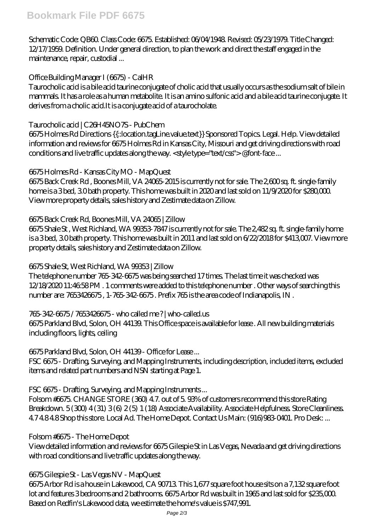Schematic Code: QB60. Class Code: 6675. Established: 06/04/1948. Revised: 05/23/1979. Title Changed: 12/17/1959. Definition. Under general direction, to plan the work and direct the staff engaged in the maintenance, repair, custodial ...

#### *Office Building Manager I (6675) - CalHR*

Taurocholic acid is a bile acid taurine conjugate of cholic acid that usually occurs as the sodium salt of bile in mammals. It has a role as a human metabolite. It is an amino sulfonic acid and a bile acid taurine conjugate. It derives from a cholic acid.It is a conjugate acid of a taurocholate.

### *Taurocholic acid | C26H45NO7S - PubChem*

6675 Holmes Rd Directions {{::location.tagLine.value.text}} Sponsored Topics. Legal. Help. View detailed information and reviews for 6675 Holmes Rd in Kansas City, Missouri and get driving directions with road conditions and live traffic updates along the way. < style type="text/css"> @font-face...

### *6675 Holmes Rd - Kansas City MO - MapQuest*

6675 Back Creek Rd , Boones Mill, VA 24065-2015 is currently not for sale. The 2,600 sq. ft. single-family home is a 3 bed, 3.0 bath property. This home was built in 2020 and last sold on 11/9/2020 for \$280,000. View more property details, sales history and Zestimate data on Zillow.

### *6675 Back Creek Rd, Boones Mill, VA 24065 | Zillow*

6675 Shale St , West Richland, WA 99353-7847 is currently not for sale. The 2,482 sq. ft. single-family home is a 3 bed, 3.0 bath property. This home was built in 2011 and last sold on 6/22/2018 for \$413,007. View more property details, sales history and Zestimate data on Zillow.

#### *6675 Shale St, West Richland, WA 99353 | Zillow*

The telephone number 765-342-6675 was being searched 17 times. The last time it was checked was 12/18/2020 11:46:58 PM . 1 comments were added to this telephone number . Other ways of searching this number are: 7653426675 , 1-765-342-6675 . Prefix 765 is the area code of Indianapolis, IN .

#### *765-342-6675 / 7653426675 - who called me ? | who-called.us*

6675 Parkland Blvd, Solon, OH 44139. This Office space is available for lease . All new building materials including floors, lights, ceiling

#### *6675 Parkland Blvd, Solon, OH 44139 - Office for Lease ...*

FSC 6675 - Drafting, Surveying, and Mapping Instruments, including description, included items, excluded items and related part numbers and NSN starting at Page 1.

## *FSC 6675 - Drafting, Surveying, and Mapping Instruments ...*

Folsom #6675. CHANGE STORE (360) 4.7. out of 5. 93% of customers recommend this store Rating Breakdown. 5 (300) 4 (31) 3 (6) 2 (5) 1 (18) Associate Availability. Associate Helpfulness. Store Cleanliness. 4.7 4.8 4.8 Shop this store. Local Ad. The Home Depot. Contact Us Main: (916)983-0401. Pro Desk: ...

#### *Folsom #6675 - The Home Depot*

View detailed information and reviews for 6675 Gilespie St in Las Vegas, Nevada and get driving directions with road conditions and live traffic updates along the way.

#### *6675 Gilespie St - Las Vegas NV - MapQuest*

6675 Arbor Rd is a house in Lakewood, CA 90713. This 1,677 square foot house sits on a 7,132 square foot lot and features 3 bedrooms and 2 bathrooms. 6675 Arbor Rd was built in 1965 and last sold for \$235,000. Based on Redfin's Lakewood data, we estimate the home's value is \$747,991.